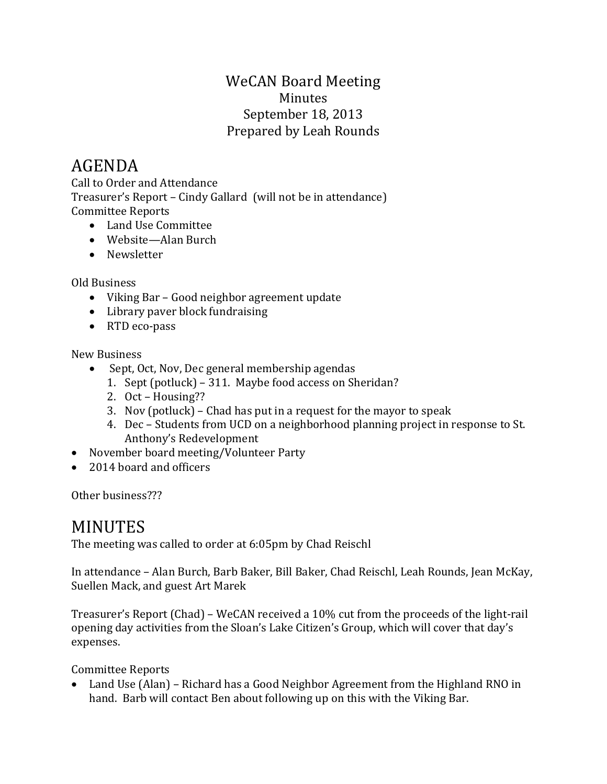### WeCAN Board Meeting Minutes September 18, 2013 Prepared by Leah Rounds

# AGENDA

Call to Order and Attendance Treasurer's Report – Cindy Gallard (will not be in attendance) Committee Reports

- Land Use Committee
- Website—Alan Burch
- Newsletter

#### Old Business

- Viking Bar Good neighbor agreement update
- Library paver block fundraising
- RTD eco-pass

#### New Business

- Sept, Oct, Nov, Dec general membership agendas
	- 1. Sept (potluck) 311. Maybe food access on Sheridan?
	- 2. Oct Housing??
	- 3. Nov (potluck) Chad has put in a request for the mayor to speak
	- 4. Dec Students from UCD on a neighborhood planning project in response to St. Anthony's Redevelopment
- November board meeting/Volunteer Party
- 2014 board and officers

Other business???

## MINUTES

The meeting was called to order at 6:05pm by Chad Reischl

In attendance – Alan Burch, Barb Baker, Bill Baker, Chad Reischl, Leah Rounds, Jean McKay, Suellen Mack, and guest Art Marek

Treasurer's Report (Chad) – WeCAN received a 10% cut from the proceeds of the light-rail opening day activities from the Sloan's Lake Citizen's Group, which will cover that day's expenses.

Committee Reports

 Land Use (Alan) – Richard has a Good Neighbor Agreement from the Highland RNO in hand. Barb will contact Ben about following up on this with the Viking Bar.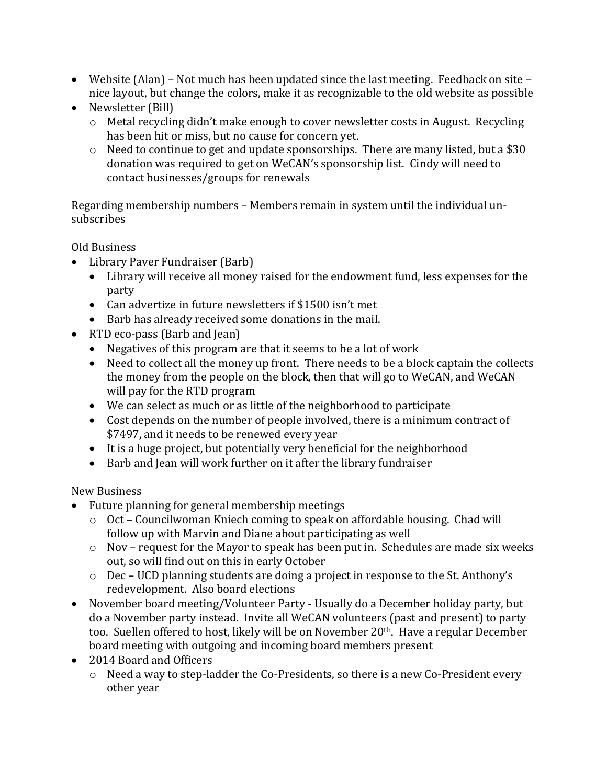- Website (Alan) Not much has been updated since the last meeting. Feedback on site nice layout, but change the colors, make it as recognizable to the old website as possible
- Newsletter (Bill)
	- o Metal recycling didn't make enough to cover newsletter costs in August. Recycling has been hit or miss, but no cause for concern yet.
	- o Need to continue to get and update sponsorships. There are many listed, but a \$30 donation was required to get on WeCAN's sponsorship list. Cindy will need to contact businesses/groups for renewals

Regarding membership numbers – Members remain in system until the individual unsubscribes

Old Business

- Library Paver Fundraiser (Barb)
	- Library will receive all money raised for the endowment fund, less expenses for the party
	- Can advertize in future newsletters if \$1500 isn't met
	- Barb has already received some donations in the mail.
- RTD eco-pass (Barb and Jean)
	- Negatives of this program are that it seems to be a lot of work
	- Need to collect all the money up front. There needs to be a block captain the collects the money from the people on the block, then that will go to WeCAN, and WeCAN will pay for the RTD program
	- We can select as much or as little of the neighborhood to participate
	- Cost depends on the number of people involved, there is a minimum contract of \$7497, and it needs to be renewed every year
	- It is a huge project, but potentially very beneficial for the neighborhood
	- Barb and Jean will work further on it after the library fundraiser

New Business

- Future planning for general membership meetings
	- o Oct Councilwoman Kniech coming to speak on affordable housing. Chad will follow up with Marvin and Diane about participating as well
	- o Nov request for the Mayor to speak has been put in. Schedules are made six weeks out, so will find out on this in early October
	- o Dec UCD planning students are doing a project in response to the St. Anthony's redevelopment. Also board elections
- November board meeting/Volunteer Party Usually do a December holiday party, but do a November party instead. Invite all WeCAN volunteers (past and present) to party too. Suellen offered to host, likely will be on November 20<sup>th</sup>. Have a regular December board meeting with outgoing and incoming board members present
- 2014 Board and Officers
	- o Need a way to step-ladder the Co-Presidents, so there is a new Co-President every other year